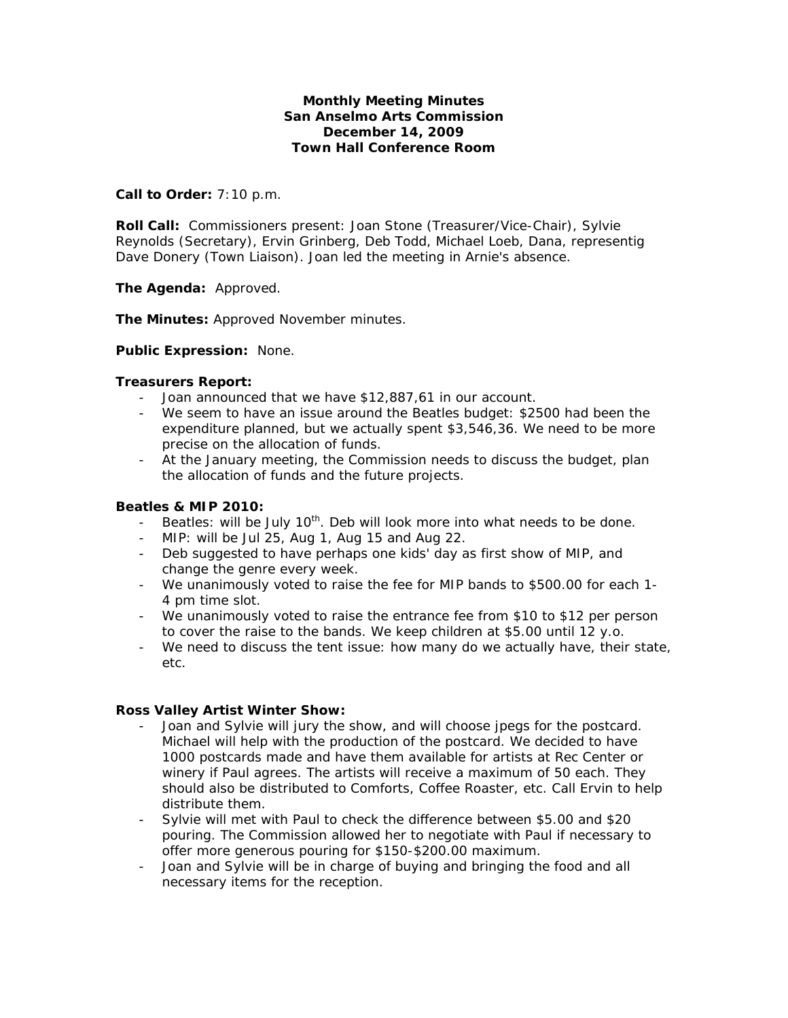# **Monthly Meeting Minutes San Anselmo Arts Commission December 14, 2009 Town Hall Conference Room**

### **Call to Order:** 7:10 p.m.

**Roll Call:** Commissioners present: Joan Stone (Treasurer/Vice-Chair), Sylvie Reynolds (Secretary), Ervin Grinberg, Deb Todd, Michael Loeb, Dana, representig Dave Donery (Town Liaison). Joan led the meeting in Arnie's absence.

**The Agenda:** Approved.

**The Minutes:** Approved November minutes.

### **Public Expression:** None.

### **Treasurers Report:**

- Joan announced that we have \$12,887,61 in our account.
- We seem to have an issue around the Beatles budget: \$2500 had been the expenditure planned, but we actually spent \$3,546,36. We need to be more precise on the allocation of funds.
- At the January meeting, the Commission needs to discuss the budget, plan the allocation of funds and the future projects.

#### **Beatles & MIP 2010:**

- Beatles: will be July  $10<sup>th</sup>$ . Deb will look more into what needs to be done.
- MIP: will be Jul 25, Aug 1, Aug 15 and Aug 22.
- Deb suggested to have perhaps one kids' day as first show of MIP, and change the genre every week.
- We unanimously voted to raise the fee for MIP bands to \$500.00 for each 1- 4 pm time slot.
- We unanimously voted to raise the entrance fee from \$10 to \$12 per person to cover the raise to the bands. We keep children at \$5.00 until 12 y.o.
- We need to discuss the tent issue: how many do we actually have, their state, etc.

# **Ross Valley Artist Winter Show:**

- Joan and Sylvie will jury the show, and will choose jpegs for the postcard. Michael will help with the production of the postcard. We decided to have 1000 postcards made and have them available for artists at Rec Center or winery if Paul agrees. The artists will receive a maximum of 50 each. They should also be distributed to Comforts, Coffee Roaster, etc. Call Ervin to help distribute them.
- Sylvie will met with Paul to check the difference between \$5.00 and \$20 pouring. The Commission allowed her to negotiate with Paul if necessary to offer more generous pouring for \$150-\$200.00 maximum.
- Joan and Sylvie will be in charge of buying and bringing the food and all necessary items for the reception.